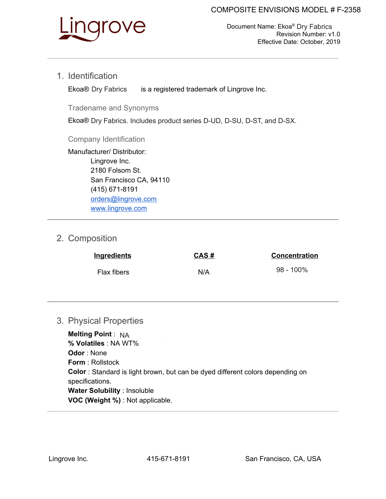

Document Name: Ekoa® Dry Fabrics Revision Number: v1.0 Effective Date: October, 2019

1. Identification

is a registered trademark of Lingrove Inc. Ekoa® Dry Fabrics

Tradename and Synonyms

Ekoa® Dry Fabrics. Includes product series D-UD, D-SU, D-ST, and D-SX.

Company Identification

Manufacturer/ Distributor: Lingrove Inc. 2180 Folsom St. San Francisco CA, 94110 (415) 671-8191 orders@lingrove.com www.lingrove.com

# 2. Composition

| <b>Ingredients</b> | CAS# | <b>Concentration</b> |
|--------------------|------|----------------------|
| Flax fibers        | N/A  | $98 - 100\%$         |

### 3. Physical Properties

**Melting Point**: NA **% Volatiles** : NA WT% **Odor** : None **Form**: Rollstock **Color** : Standard is light brown, but can be dyed different colors depending on specifications. **Water Solubility** : Insoluble **VOC (Weight %)** : Not applicable.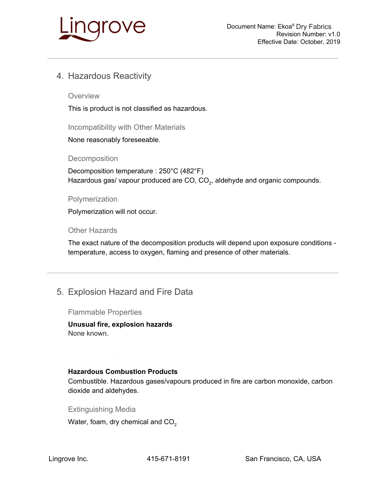

# 4. Hazardous Reactivity

**Overview** 

This is product is not classified as hazardous.

Incompatibility with Other Materials

None reasonably foreseeable.

**Decomposition** 

Decomposition temperature : 250°C (482°F) Hazardous gas/ vapour produced are CO,  $CO<sub>2</sub>$ , aldehyde and organic compounds.

#### Polymerization

Polymerization will not occur.

Other Hazards

The exact nature of the decomposition products will depend upon exposure conditions temperature, access to oxygen, flaming and presence of other materials.

## 5. Explosion Hazard and Fire Data

Flammable Properties

**Unusual fire, explosion hazards** None known. An electrostatic charge can be combusted only with different charge can be computed on  $\mathbb{R}$ 

#### **Hazardous Combustion Products**

Combustible. Hazardous gases/vapours produced in fire are carbon monoxide, carbon dioxide and aldehydes.

Extinguishing Media

Water, foam, dry chemical and  $CO<sub>2</sub>$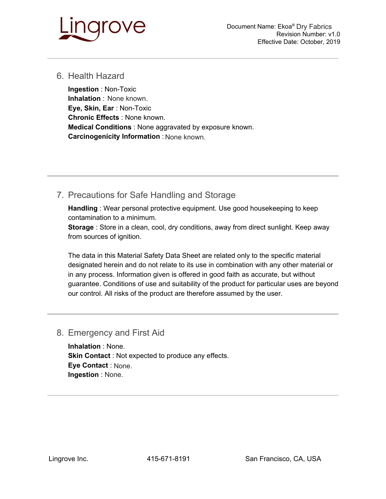

### 6. Health Hazard

**Ingestion** : Non-Toxic **Inhalation**: None known. **Eye, Skin, Ear** : Non-Toxic **Chronic Effects** : None known. **Medical Conditions** : None aggravated by exposure known. **Carcinogenicity Information** : None known.

# 7. Precautions for Safe Handling and Storage

**Handling** : Wear personal protective equipment. Use good housekeeping to keep contamination to a minimum.

**Storage** : Store in a clean, cool, dry conditions, away from direct sunlight. Keep away from sources of ignition.

The data in this Material Safety Data Sheet are related only to the specific material designated herein and do not relate to its use in combination with any other material or in any process. Information given is offered in good faith as accurate, but without guarantee. Conditions of use and suitability of the product for particular uses are beyond our control. All risks of the product are therefore assumed by the user.

### 8. Emergency and First Aid

**Inhalation** : None. **Skin Contact** : Not expected to produce any effects. **Eye Contact** : None. If it is in the occurs, get medical attention. If it is in the occurs, get medical attention. **Ingestion** : None.